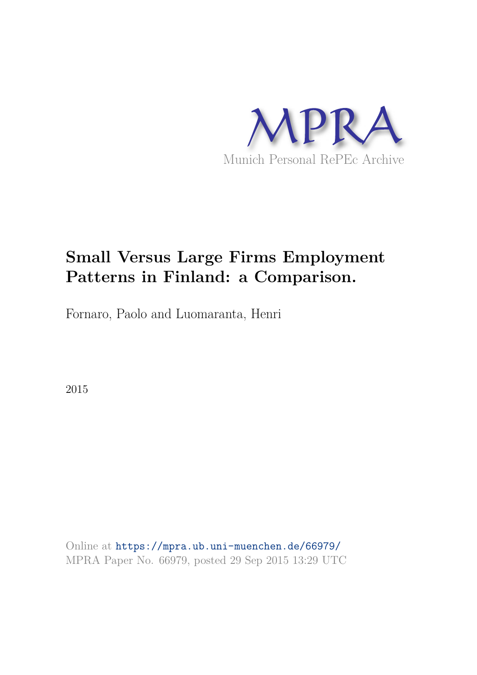

## **Small Versus Large Firms Employment Patterns in Finland: a Comparison.**

Fornaro, Paolo and Luomaranta, Henri

2015

Online at https://mpra.ub.uni-muenchen.de/66979/ MPRA Paper No. 66979, posted 29 Sep 2015 13:29 UTC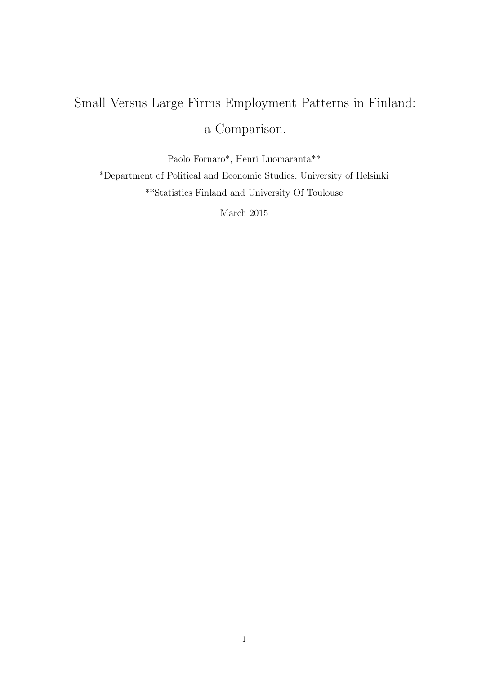# Small Versus Large Firms Employment Patterns in Finland: a Comparison.

Paolo Fornaro\*, Henri Luomaranta\*\* \*Department of Political and Economic Studies, University of Helsinki \*\*Statistics Finland and University Of Toulouse

March 2015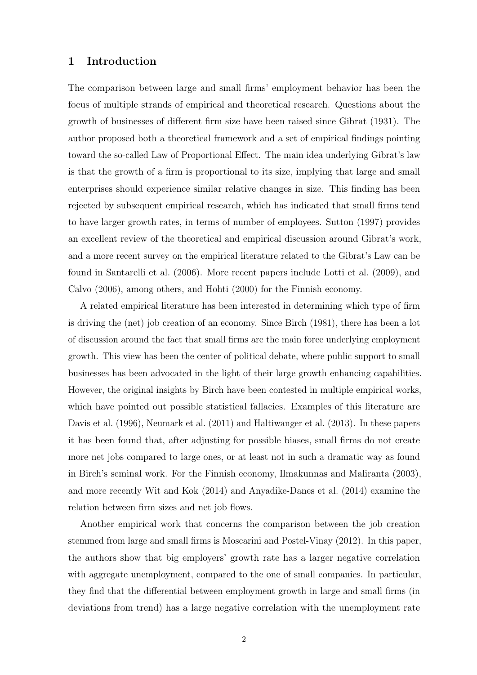## 1 Introduction

The comparison between large and small firms' employment behavior has been the focus of multiple strands of empirical and theoretical research. Questions about the growth of businesses of different firm size have been raised since Gibrat (1931). The author proposed both a theoretical framework and a set of empirical findings pointing toward the so-called Law of Proportional Effect. The main idea underlying Gibrat's law is that the growth of a firm is proportional to its size, implying that large and small enterprises should experience similar relative changes in size. This finding has been rejected by subsequent empirical research, which has indicated that small firms tend to have larger growth rates, in terms of number of employees. Sutton (1997) provides an excellent review of the theoretical and empirical discussion around Gibrat's work, and a more recent survey on the empirical literature related to the Gibrat's Law can be found in Santarelli et al. (2006). More recent papers include Lotti et al. (2009), and Calvo (2006), among others, and Hohti (2000) for the Finnish economy.

A related empirical literature has been interested in determining which type of firm is driving the (net) job creation of an economy. Since Birch (1981), there has been a lot of discussion around the fact that small firms are the main force underlying employment growth. This view has been the center of political debate, where public support to small businesses has been advocated in the light of their large growth enhancing capabilities. However, the original insights by Birch have been contested in multiple empirical works, which have pointed out possible statistical fallacies. Examples of this literature are Davis et al. (1996), Neumark et al. (2011) and Haltiwanger et al. (2013). In these papers it has been found that, after adjusting for possible biases, small firms do not create more net jobs compared to large ones, or at least not in such a dramatic way as found in Birch's seminal work. For the Finnish economy, Ilmakunnas and Maliranta (2003), and more recently Wit and Kok (2014) and Anyadike-Danes et al. (2014) examine the relation between firm sizes and net job flows.

Another empirical work that concerns the comparison between the job creation stemmed from large and small firms is Moscarini and Postel-Vinay (2012). In this paper, the authors show that big employers' growth rate has a larger negative correlation with aggregate unemployment, compared to the one of small companies. In particular, they find that the differential between employment growth in large and small firms (in deviations from trend) has a large negative correlation with the unemployment rate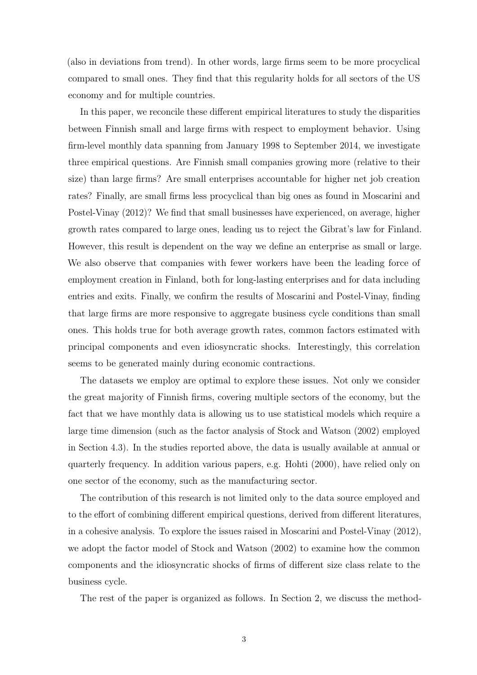(also in deviations from trend). In other words, large firms seem to be more procyclical compared to small ones. They find that this regularity holds for all sectors of the US economy and for multiple countries.

In this paper, we reconcile these different empirical literatures to study the disparities between Finnish small and large firms with respect to employment behavior. Using firm-level monthly data spanning from January 1998 to September 2014, we investigate three empirical questions. Are Finnish small companies growing more (relative to their size) than large firms? Are small enterprises accountable for higher net job creation rates? Finally, are small firms less procyclical than big ones as found in Moscarini and Postel-Vinay (2012)? We find that small businesses have experienced, on average, higher growth rates compared to large ones, leading us to reject the Gibrat's law for Finland. However, this result is dependent on the way we define an enterprise as small or large. We also observe that companies with fewer workers have been the leading force of employment creation in Finland, both for long-lasting enterprises and for data including entries and exits. Finally, we confirm the results of Moscarini and Postel-Vinay, finding that large firms are more responsive to aggregate business cycle conditions than small ones. This holds true for both average growth rates, common factors estimated with principal components and even idiosyncratic shocks. Interestingly, this correlation seems to be generated mainly during economic contractions.

The datasets we employ are optimal to explore these issues. Not only we consider the great majority of Finnish firms, covering multiple sectors of the economy, but the fact that we have monthly data is allowing us to use statistical models which require a large time dimension (such as the factor analysis of Stock and Watson (2002) employed in Section 4.3). In the studies reported above, the data is usually available at annual or quarterly frequency. In addition various papers, e.g. Hohti (2000), have relied only on one sector of the economy, such as the manufacturing sector.

The contribution of this research is not limited only to the data source employed and to the effort of combining different empirical questions, derived from different literatures, in a cohesive analysis. To explore the issues raised in Moscarini and Postel-Vinay (2012), we adopt the factor model of Stock and Watson (2002) to examine how the common components and the idiosyncratic shocks of firms of different size class relate to the business cycle.

The rest of the paper is organized as follows. In Section 2, we discuss the method-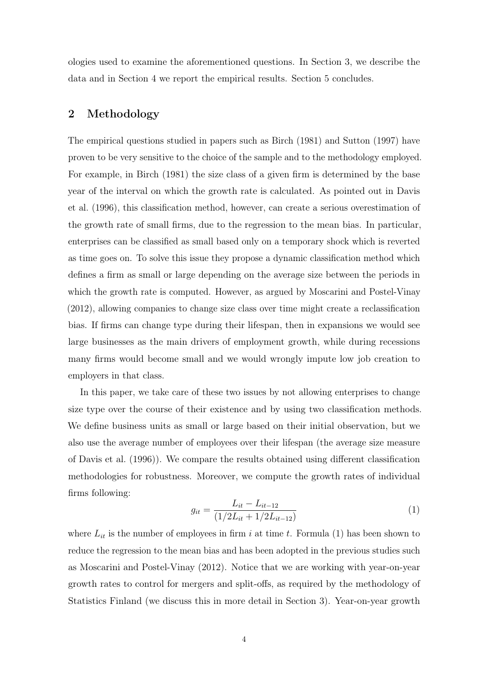ologies used to examine the aforementioned questions. In Section 3, we describe the data and in Section 4 we report the empirical results. Section 5 concludes.

## 2 Methodology

The empirical questions studied in papers such as Birch (1981) and Sutton (1997) have proven to be very sensitive to the choice of the sample and to the methodology employed. For example, in Birch (1981) the size class of a given firm is determined by the base year of the interval on which the growth rate is calculated. As pointed out in Davis et al. (1996), this classification method, however, can create a serious overestimation of the growth rate of small firms, due to the regression to the mean bias. In particular, enterprises can be classified as small based only on a temporary shock which is reverted as time goes on. To solve this issue they propose a dynamic classification method which defines a firm as small or large depending on the average size between the periods in which the growth rate is computed. However, as argued by Moscarini and Postel-Vinay (2012), allowing companies to change size class over time might create a reclassification bias. If firms can change type during their lifespan, then in expansions we would see large businesses as the main drivers of employment growth, while during recessions many firms would become small and we would wrongly impute low job creation to employers in that class.

In this paper, we take care of these two issues by not allowing enterprises to change size type over the course of their existence and by using two classification methods. We define business units as small or large based on their initial observation, but we also use the average number of employees over their lifespan (the average size measure of Davis et al. (1996)). We compare the results obtained using different classification methodologies for robustness. Moreover, we compute the growth rates of individual firms following:

$$
g_{it} = \frac{L_{it} - L_{it-12}}{(1/2L_{it} + 1/2L_{it-12})}
$$
(1)

where  $L_{it}$  is the number of employees in firm i at time t. Formula (1) has been shown to reduce the regression to the mean bias and has been adopted in the previous studies such as Moscarini and Postel-Vinay (2012). Notice that we are working with year-on-year growth rates to control for mergers and split-offs, as required by the methodology of Statistics Finland (we discuss this in more detail in Section 3). Year-on-year growth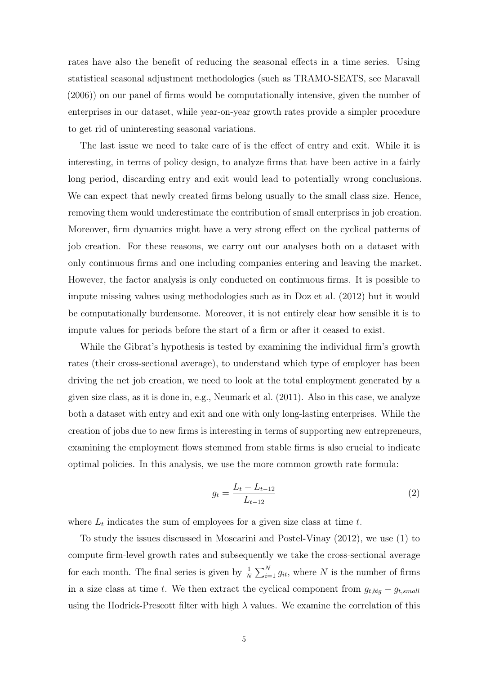rates have also the benefit of reducing the seasonal effects in a time series. Using statistical seasonal adjustment methodologies (such as TRAMO-SEATS, see Maravall (2006)) on our panel of firms would be computationally intensive, given the number of enterprises in our dataset, while year-on-year growth rates provide a simpler procedure to get rid of uninteresting seasonal variations.

The last issue we need to take care of is the effect of entry and exit. While it is interesting, in terms of policy design, to analyze firms that have been active in a fairly long period, discarding entry and exit would lead to potentially wrong conclusions. We can expect that newly created firms belong usually to the small class size. Hence, removing them would underestimate the contribution of small enterprises in job creation. Moreover, firm dynamics might have a very strong effect on the cyclical patterns of job creation. For these reasons, we carry out our analyses both on a dataset with only continuous firms and one including companies entering and leaving the market. However, the factor analysis is only conducted on continuous firms. It is possible to impute missing values using methodologies such as in Doz et al. (2012) but it would be computationally burdensome. Moreover, it is not entirely clear how sensible it is to impute values for periods before the start of a firm or after it ceased to exist.

While the Gibrat's hypothesis is tested by examining the individual firm's growth rates (their cross-sectional average), to understand which type of employer has been driving the net job creation, we need to look at the total employment generated by a given size class, as it is done in, e.g., Neumark et al. (2011). Also in this case, we analyze both a dataset with entry and exit and one with only long-lasting enterprises. While the creation of jobs due to new firms is interesting in terms of supporting new entrepreneurs, examining the employment flows stemmed from stable firms is also crucial to indicate optimal policies. In this analysis, we use the more common growth rate formula:

$$
g_t = \frac{L_t - L_{t-12}}{L_{t-12}}\tag{2}
$$

where  $L_t$  indicates the sum of employees for a given size class at time  $t$ .

To study the issues discussed in Moscarini and Postel-Vinay (2012), we use (1) to compute firm-level growth rates and subsequently we take the cross-sectional average for each month. The final series is given by  $\frac{1}{N}$  $\sum_{i=1}^{N} g_{it}$ , where N is the number of firms in a size class at time t. We then extract the cyclical component from  $g_{t,big} - g_{t,small}$ using the Hodrick-Prescott filter with high  $\lambda$  values. We examine the correlation of this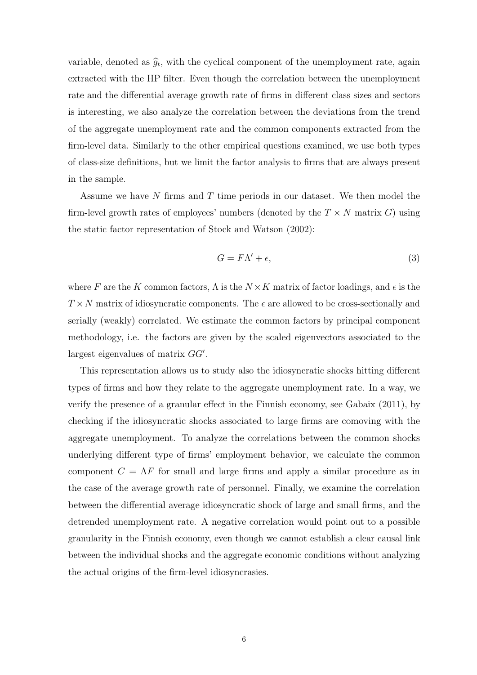variable, denoted as  $\hat{g}_t$ , with the cyclical component of the unemployment rate, again extracted with the HP filter. Even though the correlation between the unemployment rate and the differential average growth rate of firms in different class sizes and sectors is interesting, we also analyze the correlation between the deviations from the trend of the aggregate unemployment rate and the common components extracted from the firm-level data. Similarly to the other empirical questions examined, we use both types of class-size definitions, but we limit the factor analysis to firms that are always present in the sample.

Assume we have  $N$  firms and  $T$  time periods in our dataset. We then model the firm-level growth rates of employees' numbers (denoted by the  $T \times N$  matrix G) using the static factor representation of Stock and Watson (2002):

$$
G = F\Lambda' + \epsilon,\tag{3}
$$

where F are the K common factors,  $\Lambda$  is the  $N \times K$  matrix of factor loadings, and  $\epsilon$  is the  $T \times N$  matrix of idiosyncratic components. The  $\epsilon$  are allowed to be cross-sectionally and serially (weakly) correlated. We estimate the common factors by principal component methodology, i.e. the factors are given by the scaled eigenvectors associated to the largest eigenvalues of matrix  $GG'$ .

This representation allows us to study also the idiosyncratic shocks hitting different types of firms and how they relate to the aggregate unemployment rate. In a way, we verify the presence of a granular effect in the Finnish economy, see Gabaix (2011), by checking if the idiosyncratic shocks associated to large firms are comoving with the aggregate unemployment. To analyze the correlations between the common shocks underlying different type of firms' employment behavior, we calculate the common component  $C = \Lambda F$  for small and large firms and apply a similar procedure as in the case of the average growth rate of personnel. Finally, we examine the correlation between the differential average idiosyncratic shock of large and small firms, and the detrended unemployment rate. A negative correlation would point out to a possible granularity in the Finnish economy, even though we cannot establish a clear causal link between the individual shocks and the aggregate economic conditions without analyzing the actual origins of the firm-level idiosyncrasies.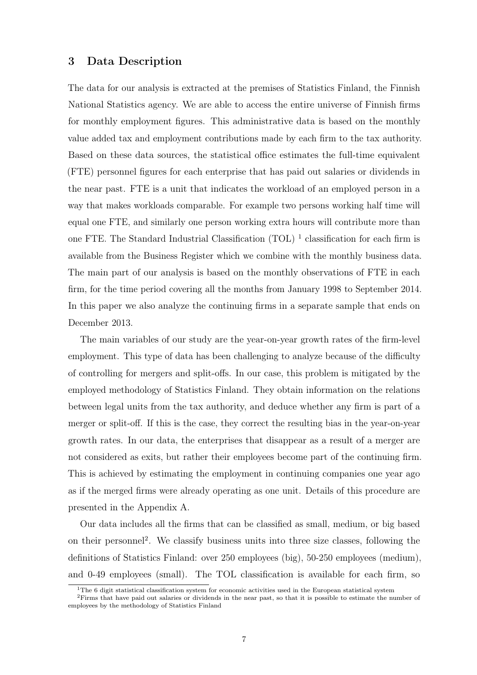## 3 Data Description

The data for our analysis is extracted at the premises of Statistics Finland, the Finnish National Statistics agency. We are able to access the entire universe of Finnish firms for monthly employment figures. This administrative data is based on the monthly value added tax and employment contributions made by each firm to the tax authority. Based on these data sources, the statistical office estimates the full-time equivalent (FTE) personnel figures for each enterprise that has paid out salaries or dividends in the near past. FTE is a unit that indicates the workload of an employed person in a way that makes workloads comparable. For example two persons working half time will equal one FTE, and similarly one person working extra hours will contribute more than one FTE. The Standard Industrial Classification (TOL)<sup>1</sup> classification for each firm is available from the Business Register which we combine with the monthly business data. The main part of our analysis is based on the monthly observations of FTE in each firm, for the time period covering all the months from January 1998 to September 2014. In this paper we also analyze the continuing firms in a separate sample that ends on December 2013.

The main variables of our study are the year-on-year growth rates of the firm-level employment. This type of data has been challenging to analyze because of the difficulty of controlling for mergers and split-offs. In our case, this problem is mitigated by the employed methodology of Statistics Finland. They obtain information on the relations between legal units from the tax authority, and deduce whether any firm is part of a merger or split-off. If this is the case, they correct the resulting bias in the year-on-year growth rates. In our data, the enterprises that disappear as a result of a merger are not considered as exits, but rather their employees become part of the continuing firm. This is achieved by estimating the employment in continuing companies one year ago as if the merged firms were already operating as one unit. Details of this procedure are presented in the Appendix A.

Our data includes all the firms that can be classified as small, medium, or big based on their personnel<sup>2</sup>. We classify business units into three size classes, following the definitions of Statistics Finland: over 250 employees (big), 50-250 employees (medium), and 0-49 employees (small). The TOL classification is available for each firm, so

<sup>&</sup>lt;sup>1</sup>The 6 digit statistical classification system for economic activities used in the European statistical system

<sup>&</sup>lt;sup>2</sup>Firms that have paid out salaries or dividends in the near past, so that it is possible to estimate the number of employees by the methodology of Statistics Finland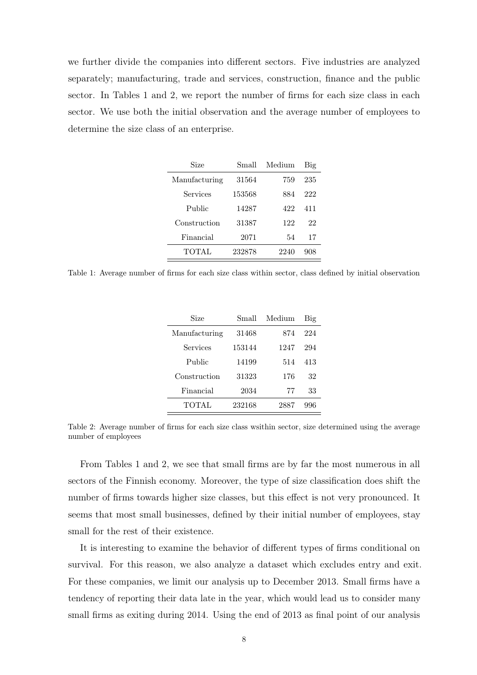we further divide the companies into different sectors. Five industries are analyzed separately; manufacturing, trade and services, construction, finance and the public sector. In Tables 1 and 2, we report the number of firms for each size class in each sector. We use both the initial observation and the average number of employees to determine the size class of an enterprise.

| Size          | Small  | Medium | Big |
|---------------|--------|--------|-----|
| Manufacturing | 31564  | 759    | 235 |
| Services      | 153568 | 884    | 222 |
| Public        | 14287  | 422    | 411 |
| Construction  | 31387  | 122    | 22  |
| Financial     | 2071   | 54     | 17  |
| TOTAL         | 232878 | 2240   | 908 |

Table 1: Average number of firms for each size class within sector, class defined by initial observation

| Size          | Small  | Medium | Big |
|---------------|--------|--------|-----|
| Manufacturing | 31468  | 874    | 224 |
| Services      | 153144 | 1247   | 294 |
| Public        | 14199  | 514    | 413 |
| Construction  | 31323  | 176    | 32  |
| Financial     | 2034   | 77     | 33  |
| TOTAL         | 232168 | 2887   | 996 |

Table 2: Average number of firms for each size class wsithin sector, size determined using the average number of employees

From Tables 1 and 2, we see that small firms are by far the most numerous in all sectors of the Finnish economy. Moreover, the type of size classification does shift the number of firms towards higher size classes, but this effect is not very pronounced. It seems that most small businesses, defined by their initial number of employees, stay small for the rest of their existence.

It is interesting to examine the behavior of different types of firms conditional on survival. For this reason, we also analyze a dataset which excludes entry and exit. For these companies, we limit our analysis up to December 2013. Small firms have a tendency of reporting their data late in the year, which would lead us to consider many small firms as exiting during 2014. Using the end of 2013 as final point of our analysis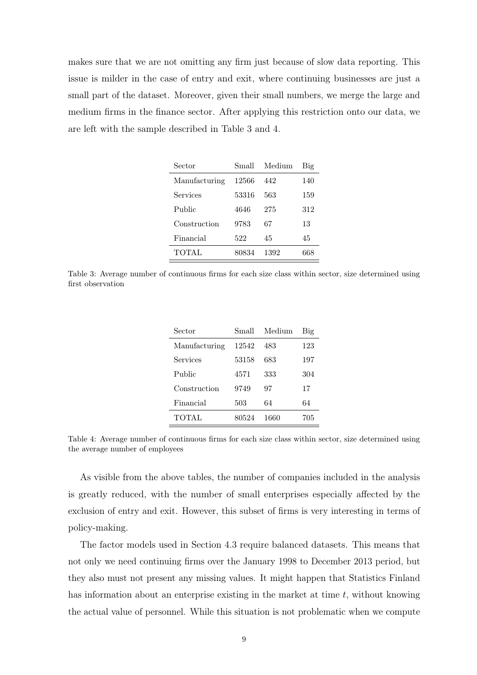makes sure that we are not omitting any firm just because of slow data reporting. This issue is milder in the case of entry and exit, where continuing businesses are just a small part of the dataset. Moreover, given their small numbers, we merge the large and medium firms in the finance sector. After applying this restriction onto our data, we are left with the sample described in Table 3 and 4.

| Sector        | Small | Medium | Big |
|---------------|-------|--------|-----|
| Manufacturing | 12566 | 442    | 140 |
| Services      | 53316 | 563    | 159 |
| Public        | 4646  | 275    | 312 |
| Construction  | 9783  | 67     | 13  |
| Financial     | 522   | 45     | 45  |
| TOTAL         | 80834 | 1392   | 668 |

Table 3: Average number of continuous firms for each size class within sector, size determined using first observation

| Sector        | Small | Medium | Big |
|---------------|-------|--------|-----|
| Manufacturing | 12542 | 483    | 123 |
| Services      | 53158 | 683    | 197 |
| Public        | 4571  | 333    | 304 |
| Construction  | 9749  | 97     | 17  |
| Financial     | 503   | 64     | 64  |
| TOTAL         | 80524 | 1660   | 705 |

Table 4: Average number of continuous firms for each size class within sector, size determined using the average number of employees

As visible from the above tables, the number of companies included in the analysis is greatly reduced, with the number of small enterprises especially affected by the exclusion of entry and exit. However, this subset of firms is very interesting in terms of policy-making.

The factor models used in Section 4.3 require balanced datasets. This means that not only we need continuing firms over the January 1998 to December 2013 period, but they also must not present any missing values. It might happen that Statistics Finland has information about an enterprise existing in the market at time  $t$ , without knowing the actual value of personnel. While this situation is not problematic when we compute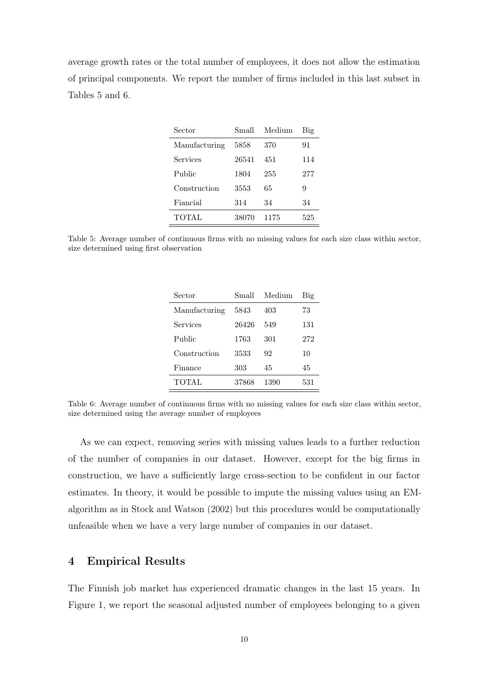average growth rates or the total number of employees, it does not allow the estimation of principal components. We report the number of firms included in this last subset in Tables 5 and 6.

| Sector        | Small | Medium | Big |
|---------------|-------|--------|-----|
| Manufacturing | 5858  | 370    | 91  |
| Services      | 26541 | 451    | 114 |
| Public        | 1804  | 255    | 277 |
| Construction  | 3553  | 65     | 9   |
| Fiancial      | 314   | 34     | 34  |
| TOTAL         | 38070 | 1175   | 525 |

Table 5: Average number of continuous firms with no missing values for each size class within sector, size determined using first observation

| Sector        | Small | Medium | Big |
|---------------|-------|--------|-----|
| Manufacturing | 5843  | 403    | 73  |
| Services      | 26426 | 549    | 131 |
| Public        | 1763  | 301    | 272 |
| Construction  | 3533  | 92     | 10  |
| Finance       | 303   | 45     | 45  |
| <b>TOTAL</b>  | 37868 | 1390   | 531 |

Table 6: Average number of continuous firms with no missing values for each size class within sector, size determined using the average number of employees

As we can expect, removing series with missing values leads to a further reduction of the number of companies in our dataset. However, except for the big firms in construction, we have a sufficiently large cross-section to be confident in our factor estimates. In theory, it would be possible to impute the missing values using an EMalgorithm as in Stock and Watson (2002) but this procedures would be computationally unfeasible when we have a very large number of companies in our dataset.

## 4 Empirical Results

The Finnish job market has experienced dramatic changes in the last 15 years. In Figure 1, we report the seasonal adjusted number of employees belonging to a given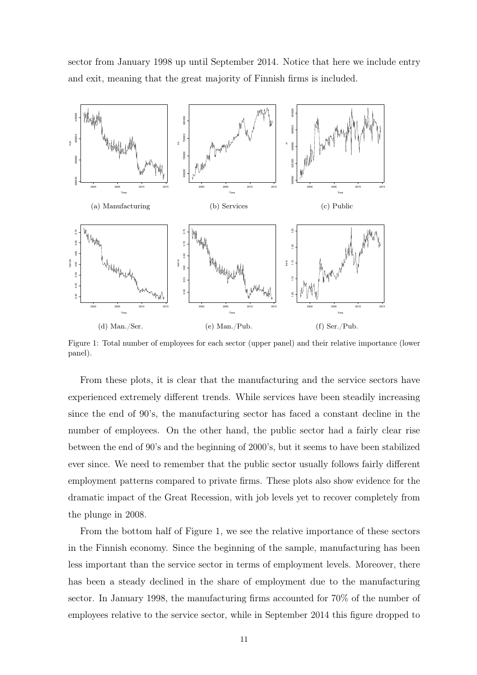sector from January 1998 up until September 2014. Notice that here we include entry and exit, meaning that the great majority of Finnish firms is included.



Figure 1: Total number of employees for each sector (upper panel) and their relative importance (lower panel).

From these plots, it is clear that the manufacturing and the service sectors have experienced extremely different trends. While services have been steadily increasing since the end of 90's, the manufacturing sector has faced a constant decline in the number of employees. On the other hand, the public sector had a fairly clear rise between the end of 90's and the beginning of 2000's, but it seems to have been stabilized ever since. We need to remember that the public sector usually follows fairly different employment patterns compared to private firms. These plots also show evidence for the dramatic impact of the Great Recession, with job levels yet to recover completely from the plunge in 2008.

From the bottom half of Figure 1, we see the relative importance of these sectors in the Finnish economy. Since the beginning of the sample, manufacturing has been less important than the service sector in terms of employment levels. Moreover, there has been a steady declined in the share of employment due to the manufacturing sector. In January 1998, the manufacturing firms accounted for 70% of the number of employees relative to the service sector, while in September 2014 this figure dropped to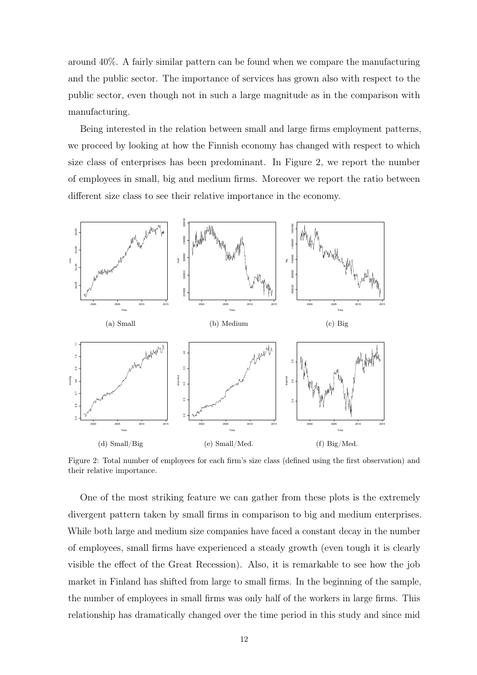around 40%. A fairly similar pattern can be found when we compare the manufacturing and the public sector. The importance of services has grown also with respect to the public sector, even though not in such a large magnitude as in the comparison with manufacturing.

Being interested in the relation between small and large firms employment patterns, we proceed by looking at how the Finnish economy has changed with respect to which size class of enterprises has been predominant. In Figure 2, we report the number of employees in small, big and medium firms. Moreover we report the ratio between different size class to see their relative importance in the economy.



Figure 2: Total number of employees for each firm's size class (defined using the first observation) and their relative importance.

One of the most striking feature we can gather from these plots is the extremely divergent pattern taken by small firms in comparison to big and medium enterprises. While both large and medium size companies have faced a constant decay in the number of employees, small firms have experienced a steady growth (even tough it is clearly visible the effect of the Great Recession). Also, it is remarkable to see how the job market in Finland has shifted from large to small firms. In the beginning of the sample, the number of employees in small firms was only half of the workers in large firms. This relationship has dramatically changed over the time period in this study and since mid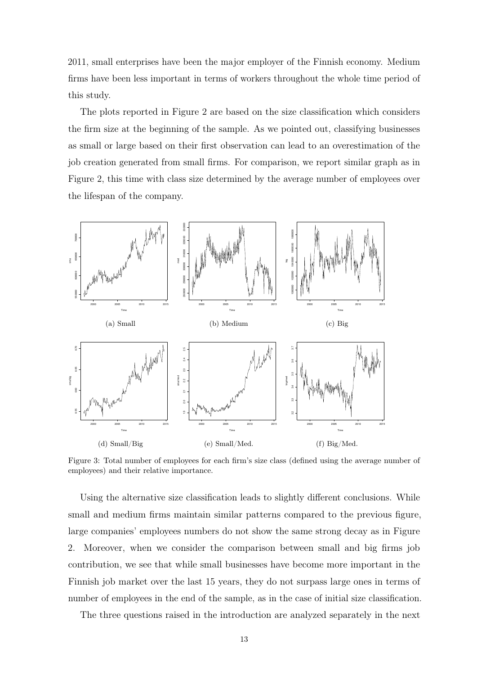2011, small enterprises have been the major employer of the Finnish economy. Medium firms have been less important in terms of workers throughout the whole time period of this study.

The plots reported in Figure 2 are based on the size classification which considers the firm size at the beginning of the sample. As we pointed out, classifying businesses as small or large based on their first observation can lead to an overestimation of the job creation generated from small firms. For comparison, we report similar graph as in Figure 2, this time with class size determined by the average number of employees over the lifespan of the company.



Figure 3: Total number of employees for each firm's size class (defined using the average number of employees) and their relative importance.

Using the alternative size classification leads to slightly different conclusions. While small and medium firms maintain similar patterns compared to the previous figure, large companies' employees numbers do not show the same strong decay as in Figure 2. Moreover, when we consider the comparison between small and big firms job contribution, we see that while small businesses have become more important in the Finnish job market over the last 15 years, they do not surpass large ones in terms of number of employees in the end of the sample, as in the case of initial size classification.

The three questions raised in the introduction are analyzed separately in the next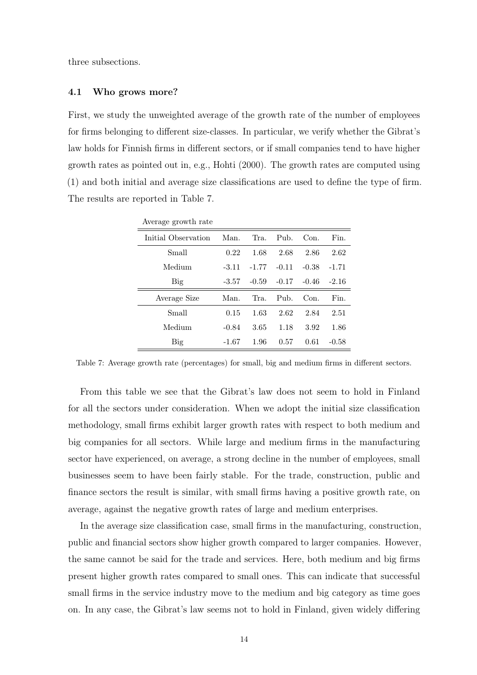three subsections.

#### 4.1 Who grows more?

First, we study the unweighted average of the growth rate of the number of employees for firms belonging to different size-classes. In particular, we verify whether the Gibrat's law holds for Finnish firms in different sectors, or if small companies tend to have higher growth rates as pointed out in, e.g., Hohti (2000). The growth rates are computed using (1) and both initial and average size classifications are used to define the type of firm. The results are reported in Table 7.

| Average growth rate |         |         |          |         |         |
|---------------------|---------|---------|----------|---------|---------|
| Initial Observation | Man.    | Tra.    | $P11b$ . | Con.    | Fin.    |
| Small               | 0.22    | 1.68    | 2.68     | 2.86    | 2.62    |
| Medium              | $-3.11$ | $-1.77$ | $-0.11$  | $-0.38$ | $-1.71$ |
| Big                 | -3.57   | $-0.59$ | $-0.17$  | $-0.46$ | $-2.16$ |
| Average Size        | Man.    | Tra.    | $P11b$ . | Con.    | Fin.    |
| Small               | 0.15    | 1.63    | 2.62     | 2.84    | 2.51    |
| Medium              | $-0.84$ | 3.65    | 1.18     | 3.92    | 1.86    |
| <b>Big</b>          | -1.67   | 1.96    | 0.57     | 0.61    | $-0.58$ |

Table 7: Average growth rate (percentages) for small, big and medium firms in different sectors.

From this table we see that the Gibrat's law does not seem to hold in Finland for all the sectors under consideration. When we adopt the initial size classification methodology, small firms exhibit larger growth rates with respect to both medium and big companies for all sectors. While large and medium firms in the manufacturing sector have experienced, on average, a strong decline in the number of employees, small businesses seem to have been fairly stable. For the trade, construction, public and finance sectors the result is similar, with small firms having a positive growth rate, on average, against the negative growth rates of large and medium enterprises.

In the average size classification case, small firms in the manufacturing, construction, public and financial sectors show higher growth compared to larger companies. However, the same cannot be said for the trade and services. Here, both medium and big firms present higher growth rates compared to small ones. This can indicate that successful small firms in the service industry move to the medium and big category as time goes on. In any case, the Gibrat's law seems not to hold in Finland, given widely differing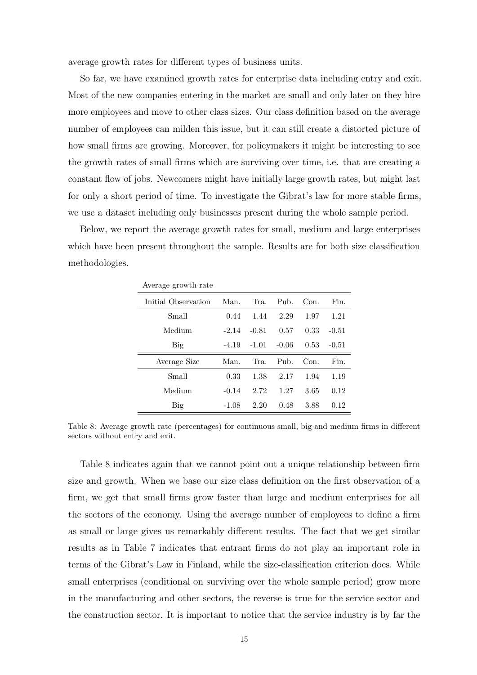average growth rates for different types of business units.

So far, we have examined growth rates for enterprise data including entry and exit. Most of the new companies entering in the market are small and only later on they hire more employees and move to other class sizes. Our class definition based on the average number of employees can milden this issue, but it can still create a distorted picture of how small firms are growing. Moreover, for policymakers it might be interesting to see the growth rates of small firms which are surviving over time, i.e. that are creating a constant flow of jobs. Newcomers might have initially large growth rates, but might last for only a short period of time. To investigate the Gibrat's law for more stable firms, we use a dataset including only businesses present during the whole sample period.

Below, we report the average growth rates for small, medium and large enterprises which have been present throughout the sample. Results are for both size classification methodologies.

| Average growth rate |         |         |                         |      |         |
|---------------------|---------|---------|-------------------------|------|---------|
| Initial Observation | Man.    | Tra.    | $P_{11}$ <sub>b</sub> . | Con. | Fin.    |
| Small               | 0.44    | 1.44    | 2.29                    | 1.97 | 1.21    |
| Medium              | $-2.14$ | $-0.81$ | 0.57                    | 0.33 | $-0.51$ |
| Big                 | -4.19   | $-1.01$ | $-0.06$                 | 0.53 | $-0.51$ |
| Average Size        | Man.    | Tra.    | $Pu$ <sub>b</sub> .     | Con. | Fin.    |
| Small               | 0.33    | 1.38    | 2.17                    | 1.94 | 1.19    |
| Medium              | $-0.14$ | 2.72    | 1.27                    | 3.65 | 0.12    |
| Big                 | $-1.08$ | 2.20    | 0.48                    | 3.88 | 0.12    |

Table 8: Average growth rate (percentages) for continuous small, big and medium firms in different sectors without entry and exit.

Table 8 indicates again that we cannot point out a unique relationship between firm size and growth. When we base our size class definition on the first observation of a firm, we get that small firms grow faster than large and medium enterprises for all the sectors of the economy. Using the average number of employees to define a firm as small or large gives us remarkably different results. The fact that we get similar results as in Table 7 indicates that entrant firms do not play an important role in terms of the Gibrat's Law in Finland, while the size-classification criterion does. While small enterprises (conditional on surviving over the whole sample period) grow more in the manufacturing and other sectors, the reverse is true for the service sector and the construction sector. It is important to notice that the service industry is by far the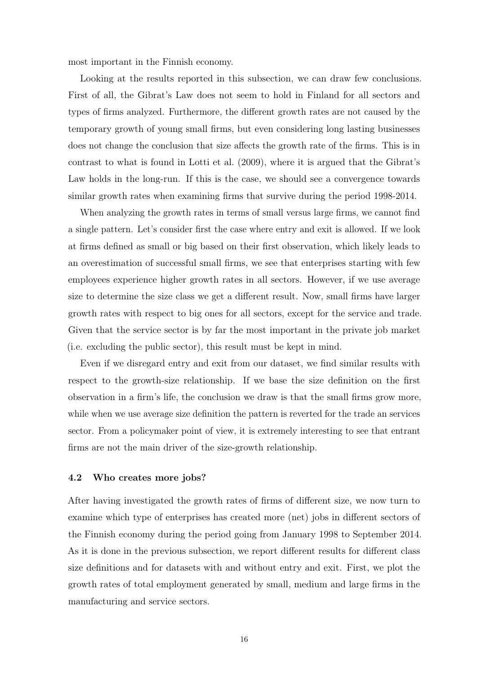most important in the Finnish economy.

Looking at the results reported in this subsection, we can draw few conclusions. First of all, the Gibrat's Law does not seem to hold in Finland for all sectors and types of firms analyzed. Furthermore, the different growth rates are not caused by the temporary growth of young small firms, but even considering long lasting businesses does not change the conclusion that size affects the growth rate of the firms. This is in contrast to what is found in Lotti et al. (2009), where it is argued that the Gibrat's Law holds in the long-run. If this is the case, we should see a convergence towards similar growth rates when examining firms that survive during the period 1998-2014.

When analyzing the growth rates in terms of small versus large firms, we cannot find a single pattern. Let's consider first the case where entry and exit is allowed. If we look at firms defined as small or big based on their first observation, which likely leads to an overestimation of successful small firms, we see that enterprises starting with few employees experience higher growth rates in all sectors. However, if we use average size to determine the size class we get a different result. Now, small firms have larger growth rates with respect to big ones for all sectors, except for the service and trade. Given that the service sector is by far the most important in the private job market (i.e. excluding the public sector), this result must be kept in mind.

Even if we disregard entry and exit from our dataset, we find similar results with respect to the growth-size relationship. If we base the size definition on the first observation in a firm's life, the conclusion we draw is that the small firms grow more, while when we use average size definition the pattern is reverted for the trade an services sector. From a policymaker point of view, it is extremely interesting to see that entrant firms are not the main driver of the size-growth relationship.

#### 4.2 Who creates more jobs?

After having investigated the growth rates of firms of different size, we now turn to examine which type of enterprises has created more (net) jobs in different sectors of the Finnish economy during the period going from January 1998 to September 2014. As it is done in the previous subsection, we report different results for different class size definitions and for datasets with and without entry and exit. First, we plot the growth rates of total employment generated by small, medium and large firms in the manufacturing and service sectors.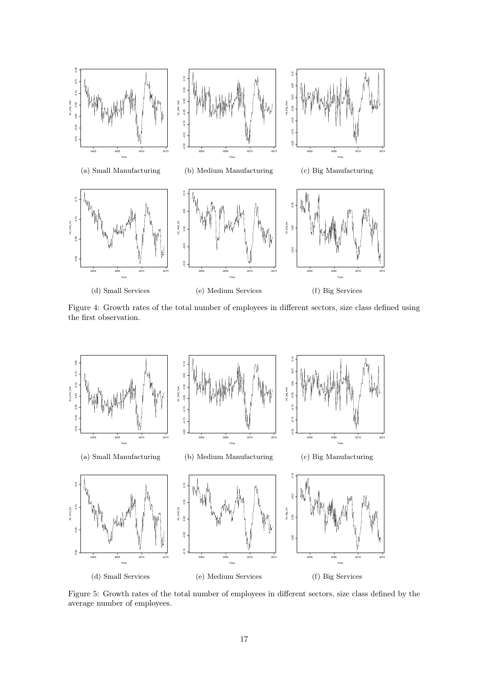

Figure 4: Growth rates of the total number of employees in different sectors, size class defined using the first observation.



Figure 5: Growth rates of the total number of employees in different sectors, size class defined by the average number of employees.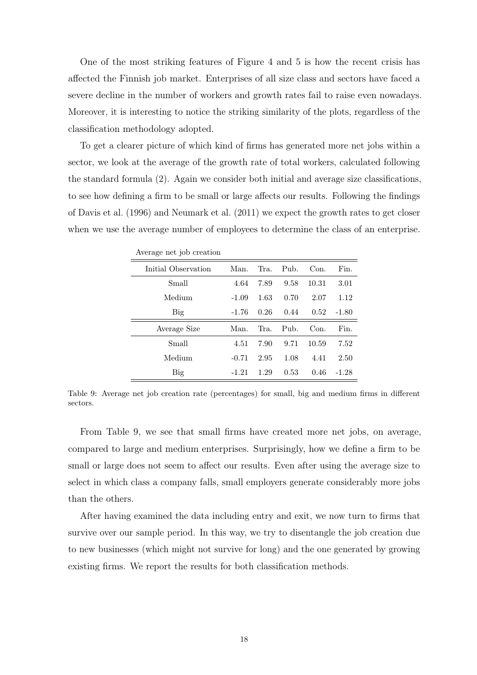One of the most striking features of Figure 4 and 5 is how the recent crisis has affected the Finnish job market. Enterprises of all size class and sectors have faced a severe decline in the number of workers and growth rates fail to raise even nowadays. Moreover, it is interesting to notice the striking similarity of the plots, regardless of the classification methodology adopted.

To get a clearer picture of which kind of firms has generated more net jobs within a sector, we look at the average of the growth rate of total workers, calculated following the standard formula (2). Again we consider both initial and average size classifications, to see how defining a firm to be small or large affects our results. Following the findings of Davis et al. (1996) and Neumark et al. (2011) we expect the growth rates to get closer when we use the average number of employees to determine the class of an enterprise.

| Average het job creation |         |      |      |       |         |
|--------------------------|---------|------|------|-------|---------|
| Initial Observation      | Man.    | Tra. | Pub. | Con.  | Fin.    |
| Small                    | 4.64    | 7.89 | 9.58 | 10.31 | 3.01    |
| Medium                   | $-1.09$ | 1.63 | 0.70 | 2.07  | 1.12    |
| Big                      | -1.76   | 0.26 | 0.44 | 0.52  | $-1.80$ |
| Average Size             | Man.    | Tra. | Pub. | Con.  | Fin.    |
| Small                    | 4.51    | 7.90 | 9.71 | 10.59 | 7.52    |
| Medium                   | $-0.71$ | 2.95 | 1.08 | 4.41  | 2.50    |
| Big                      | $-1.21$ | 1.29 | 0.53 | 0.46  | $-1.28$ |

Average net job creation

Table 9: Average net job creation rate (percentages) for small, big and medium firms in different sectors.

From Table 9, we see that small firms have created more net jobs, on average, compared to large and medium enterprises. Surprisingly, how we define a firm to be small or large does not seem to affect our results. Even after using the average size to select in which class a company falls, small employers generate considerably more jobs than the others.

After having examined the data including entry and exit, we now turn to firms that survive over our sample period. In this way, we try to disentangle the job creation due to new businesses (which might not survive for long) and the one generated by growing existing firms. We report the results for both classification methods.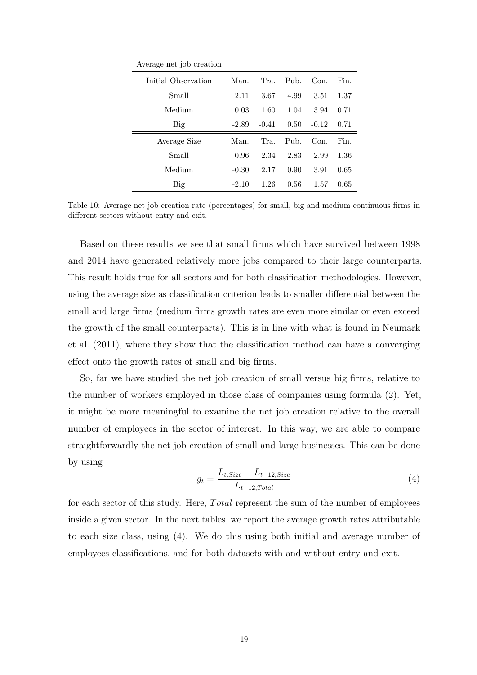Average net job creation

| Initial Observation | Man.    | Tra.    | $P11b$ .        | Con.    | Fin. |
|---------------------|---------|---------|-----------------|---------|------|
| Small               | 2.11    | 3.67    | 4.99            | 3.51    | 1.37 |
| Medium              | 0.03    | 1.60    | 1.04            | 3.94    | 0.71 |
| Big                 | $-2.89$ | $-0.41$ | 0.50            | $-0.12$ | 0.71 |
|                     |         |         |                 |         |      |
| Average Size        | Man.    | Tra.    | P <sub>uh</sub> | Con.    | Fin. |
| Small               | 0.96    | 2.34    | 2.83            | 2.99    | 1.36 |
| Medium              | $-0.30$ | 2.17    | 0.90            | 3.91    | 0.65 |

Table 10: Average net job creation rate (percentages) for small, big and medium continuous firms in different sectors without entry and exit.

Based on these results we see that small firms which have survived between 1998 and 2014 have generated relatively more jobs compared to their large counterparts. This result holds true for all sectors and for both classification methodologies. However, using the average size as classification criterion leads to smaller differential between the small and large firms (medium firms growth rates are even more similar or even exceed the growth of the small counterparts). This is in line with what is found in Neumark et al. (2011), where they show that the classification method can have a converging effect onto the growth rates of small and big firms.

So, far we have studied the net job creation of small versus big firms, relative to the number of workers employed in those class of companies using formula (2). Yet, it might be more meaningful to examine the net job creation relative to the overall number of employees in the sector of interest. In this way, we are able to compare straightforwardly the net job creation of small and large businesses. This can be done by using

$$
g_t = \frac{L_{t,Size} - L_{t-12,Size}}{L_{t-12,Total}} \tag{4}
$$

for each sector of this study. Here, *T* otal represent the sum of the number of employees inside a given sector. In the next tables, we report the average growth rates attributable to each size class, using (4). We do this using both initial and average number of employees classifications, and for both datasets with and without entry and exit.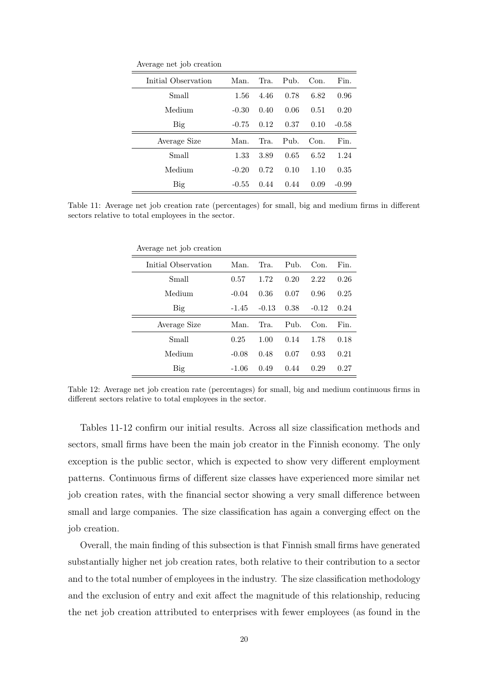Average net job creation

| Initial Observation | Man.    | Tra. | P <sub>uh</sub> | Con. | Fin.    |
|---------------------|---------|------|-----------------|------|---------|
| Small               | 1.56    | 4.46 | 0.78            | 6.82 | 0.96    |
| Medium              | $-0.30$ | 0.40 | 0.06            | 0.51 | 0.20    |
| Big                 | $-0.75$ | 0.12 | 0.37            | 0.10 | $-0.58$ |
| Average Size        | Man.    | Tra. | $P11b$ .        | Con. | Fin.    |
| Small               | 1.33    | 3.89 | 0.65            | 6.52 | 1.24    |
| Medium              | $-0.20$ | 0.72 | 0.10            | 1.10 | 0.35    |
| Big                 | $-0.55$ | 0.44 | 0.44            | 0.09 | $-0.99$ |

Table 11: Average net job creation rate (percentages) for small, big and medium firms in different sectors relative to total employees in the sector.

| Average net job creation |         |         |      |         |      |
|--------------------------|---------|---------|------|---------|------|
| Initial Observation      | Man.    | Tra.    | Pub. | Con.    | Fin. |
| Small                    | 0.57    | 1.72    | 0.20 | 2.22    | 0.26 |
| Medium                   | $-0.04$ | 0.36    | 0.07 | 0.96    | 0.25 |
| Big                      | $-1.45$ | $-0.13$ | 0.38 | $-0.12$ | 0.24 |
| Average Size             | Man.    | Tra.    | Pub. | Con.    | Fin. |
| Small                    | 0.25    | 1.00    | 0.14 | 1.78    | 0.18 |
| Medium                   | $-0.08$ | 0.48    | 0.07 | 0.93    | 0.21 |
| Big                      | $-1.06$ | 0.49    | 0.44 | 0.29    | 0.27 |

Table 12: Average net job creation rate (percentages) for small, big and medium continuous firms in different sectors relative to total employees in the sector.

Tables 11-12 confirm our initial results. Across all size classification methods and sectors, small firms have been the main job creator in the Finnish economy. The only exception is the public sector, which is expected to show very different employment patterns. Continuous firms of different size classes have experienced more similar net job creation rates, with the financial sector showing a very small difference between small and large companies. The size classification has again a converging effect on the job creation.

Overall, the main finding of this subsection is that Finnish small firms have generated substantially higher net job creation rates, both relative to their contribution to a sector and to the total number of employees in the industry. The size classification methodology and the exclusion of entry and exit affect the magnitude of this relationship, reducing the net job creation attributed to enterprises with fewer employees (as found in the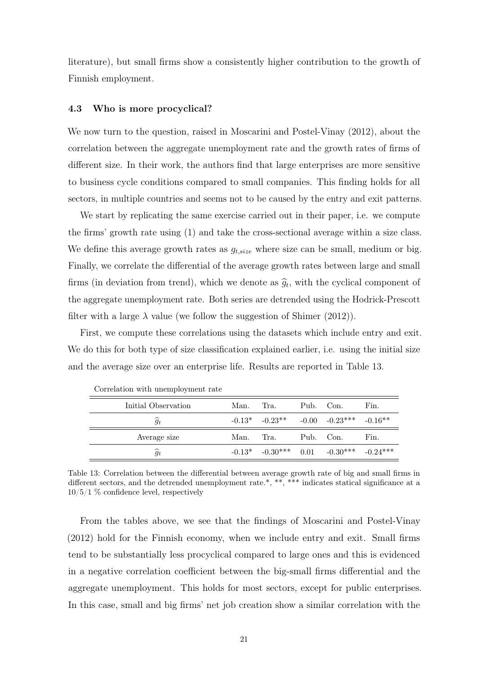literature), but small firms show a consistently higher contribution to the growth of Finnish employment.

#### 4.3 Who is more procyclical?

We now turn to the question, raised in Moscarini and Postel-Vinay (2012), about the correlation between the aggregate unemployment rate and the growth rates of firms of different size. In their work, the authors find that large enterprises are more sensitive to business cycle conditions compared to small companies. This finding holds for all sectors, in multiple countries and seems not to be caused by the entry and exit patterns.

We start by replicating the same exercise carried out in their paper, i.e. we compute the firms' growth rate using (1) and take the cross-sectional average within a size class. We define this average growth rates as  $g_{t,size}$  where size can be small, medium or big. Finally, we correlate the differential of the average growth rates between large and small firms (in deviation from trend), which we denote as  $\hat{g}_t$ , with the cyclical component of the aggregate unemployment rate. Both series are detrended using the Hodrick-Prescott filter with a large  $\lambda$  value (we follow the suggestion of Shimer (2012)).

First, we compute these correlations using the datasets which include entry and exit. We do this for both type of size classification explained earlier, i.e. using the initial size and the average size over an enterprise life. Results are reported in Table 13.

| Initial Observation | Man. | Tra.                                                       | Pub. Con. | Fin. |
|---------------------|------|------------------------------------------------------------|-----------|------|
| $\widehat{g}_t$     |      | $-0.13^*$ $-0.23^{**}$ $-0.00$ $-0.23^{***}$ $-0.16^{**}$  |           |      |
| Average size        |      | Man. Tra.                                                  | Pub. Con. | Fin. |
| $\widehat{g}_t$     |      | $-0.13^*$ $-0.30^{***}$ $0.01$ $-0.30^{***}$ $-0.24^{***}$ |           |      |

Correlation with unemployment rate

Table 13: Correlation between the differential between average growth rate of big and small firms in different sectors, and the detrended unemployment rate.\*, \*\*, \*\*\* indicates statical significance at a 10/5/1 % confidence level, respectively

From the tables above, we see that the findings of Moscarini and Postel-Vinay (2012) hold for the Finnish economy, when we include entry and exit. Small firms tend to be substantially less procyclical compared to large ones and this is evidenced in a negative correlation coefficient between the big-small firms differential and the aggregate unemployment. This holds for most sectors, except for public enterprises. In this case, small and big firms' net job creation show a similar correlation with the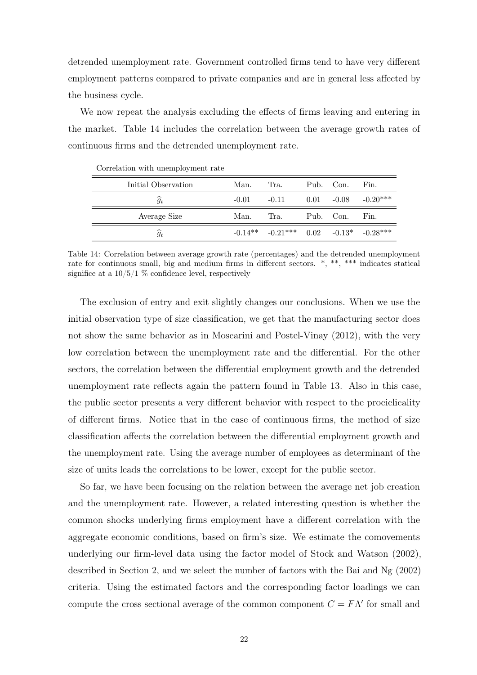detrended unemployment rate. Government controlled firms tend to have very different employment patterns compared to private companies and are in general less affected by the business cycle.

We now repeat the analysis excluding the effects of firms leaving and entering in the market. Table 14 includes the correlation between the average growth rates of continuous firms and the detrended unemployment rate.

| Initial Observation | Man.    | Tra.                                             | Pub. Con. | Fin.                  |
|---------------------|---------|--------------------------------------------------|-----------|-----------------------|
| $\widehat{g}_t$     | $-0.01$ | $-0.11$                                          |           | $0.01 -0.08 -0.20***$ |
| Average Size        | Man.    | Tra.                                             | Pub. Con. | Fin.                  |
| $\widehat{g}_t$     |         | $-0.14***$ $-0.21***$ $0.02$ $-0.13*$ $-0.28***$ |           |                       |
|                     |         |                                                  |           |                       |

Correlation with unemployment rate

Table 14: Correlation between average growth rate (percentages) and the detrended unemployment rate for continuous small, big and medium firms in different sectors. \*, \*\*, \*\*\* indicates statical significe at a  $10/5/1$  % confidence level, respectively

The exclusion of entry and exit slightly changes our conclusions. When we use the initial observation type of size classification, we get that the manufacturing sector does not show the same behavior as in Moscarini and Postel-Vinay (2012), with the very low correlation between the unemployment rate and the differential. For the other sectors, the correlation between the differential employment growth and the detrended unemployment rate reflects again the pattern found in Table 13. Also in this case, the public sector presents a very different behavior with respect to the prociclicality of different firms. Notice that in the case of continuous firms, the method of size classification affects the correlation between the differential employment growth and the unemployment rate. Using the average number of employees as determinant of the size of units leads the correlations to be lower, except for the public sector.

So far, we have been focusing on the relation between the average net job creation and the unemployment rate. However, a related interesting question is whether the common shocks underlying firms employment have a different correlation with the aggregate economic conditions, based on firm's size. We estimate the comovements underlying our firm-level data using the factor model of Stock and Watson (2002), described in Section 2, and we select the number of factors with the Bai and Ng (2002) criteria. Using the estimated factors and the corresponding factor loadings we can compute the cross sectional average of the common component  $C = F\Lambda'$  for small and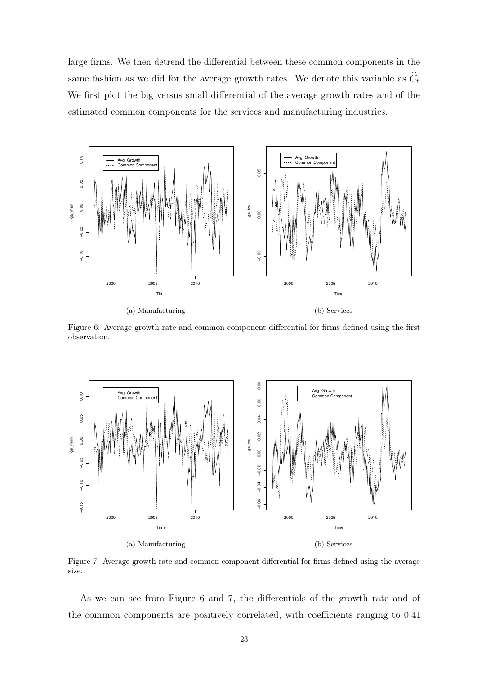large firms. We then detrend the differential between these common components in the same fashion as we did for the average growth rates. We denote this variable as  $C_t$ . We first plot the big versus small differential of the average growth rates and of the estimated common components for the services and manufacturing industries.



Figure 6: Average growth rate and common component differential for firms defined using the first observation.



Figure 7: Average growth rate and common component differential for firms defined using the average size.

As we can see from Figure 6 and 7, the differentials of the growth rate and of the common components are positively correlated, with coefficients ranging to 0.41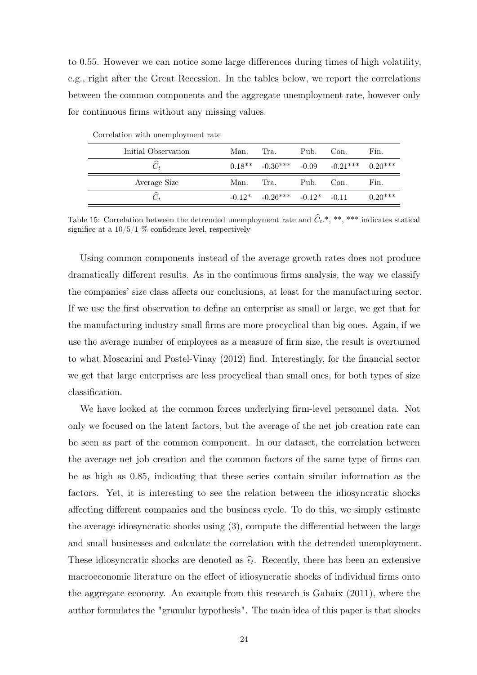to 0.55. However we can notice some large differences during times of high volatility, e.g., right after the Great Recession. In the tables below, we report the correlations between the common components and the aggregate unemployment rate, however only for continuous firms without any missing values.

| Correlation with unemployment rate |      |                                           |      |                                                   |           |
|------------------------------------|------|-------------------------------------------|------|---------------------------------------------------|-----------|
| Initial Observation                | Man. | Tra.                                      | Pub. | Con.                                              | Fin.      |
| $\widehat{C}_t$                    |      |                                           |      | $0.18***$ $-0.30***$ $-0.09$ $-0.21***$ $0.20***$ |           |
| Average Size                       | Man. | Tra.                                      | Pub. | Con.                                              | Fin.      |
| $\widehat{C}_t$                    |      | $-0.12^*$ $-0.26^{***}$ $-0.12^*$ $-0.11$ |      |                                                   | $0.20***$ |

Correlation with unemployment rate

Table 15: Correlation between the detrended unemployment rate and  $\hat{C}_t$ , \*\*, \*\*\* indicates statical significe at a  $10/5/1$  % confidence level, respectively

Using common components instead of the average growth rates does not produce dramatically different results. As in the continuous firms analysis, the way we classify the companies' size class affects our conclusions, at least for the manufacturing sector. If we use the first observation to define an enterprise as small or large, we get that for the manufacturing industry small firms are more procyclical than big ones. Again, if we use the average number of employees as a measure of firm size, the result is overturned to what Moscarini and Postel-Vinay (2012) find. Interestingly, for the financial sector we get that large enterprises are less procyclical than small ones, for both types of size classification.

We have looked at the common forces underlying firm-level personnel data. Not only we focused on the latent factors, but the average of the net job creation rate can be seen as part of the common component. In our dataset, the correlation between the average net job creation and the common factors of the same type of firms can be as high as 0.85, indicating that these series contain similar information as the factors. Yet, it is interesting to see the relation between the idiosyncratic shocks affecting different companies and the business cycle. To do this, we simply estimate the average idiosyncratic shocks using (3), compute the differential between the large and small businesses and calculate the correlation with the detrended unemployment. These idiosyncratic shocks are denoted as  $\hat{\epsilon}_t$ . Recently, there has been an extensive macroeconomic literature on the effect of idiosyncratic shocks of individual firms onto the aggregate economy. An example from this research is Gabaix (2011), where the author formulates the "granular hypothesis". The main idea of this paper is that shocks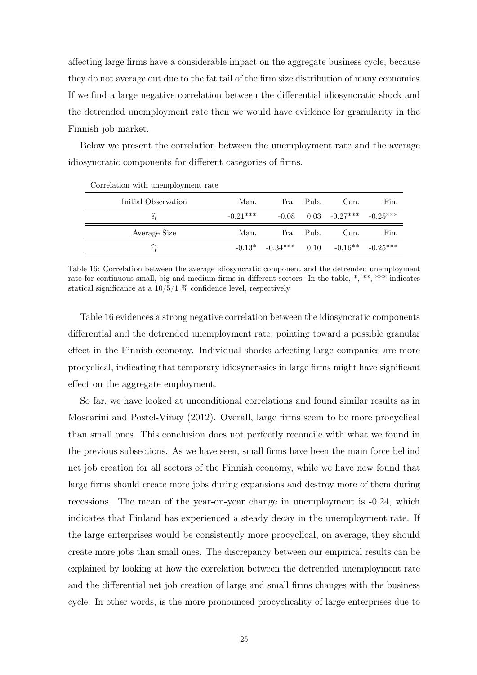affecting large firms have a considerable impact on the aggregate business cycle, because they do not average out due to the fat tail of the firm size distribution of many economies. If we find a large negative correlation between the differential idiosyncratic shock and the detrended unemployment rate then we would have evidence for granularity in the Finnish job market.

Below we present the correlation between the unemployment rate and the average idiosyncratic components for different categories of firms.

| Initial Observation    | Man.       |                                                           | Tra. Pub. | Con.                                 | Fin. |
|------------------------|------------|-----------------------------------------------------------|-----------|--------------------------------------|------|
| $\widehat{\epsilon}_t$ | $-0.21***$ |                                                           |           | $-0.08$ $0.03$ $-0.27***$ $-0.25***$ |      |
| Average Size           | Man.       |                                                           | Tra. Pub. | Con.                                 | Fin. |
| $\widehat{\epsilon}_t$ |            | $-0.13^*$ $-0.34^{***}$ $0.10$ $-0.16^{**}$ $-0.25^{***}$ |           |                                      |      |

| Correlation with unemployment rate |  |  |  |  |
|------------------------------------|--|--|--|--|
|------------------------------------|--|--|--|--|

Table 16: Correlation between the average idiosyncratic component and the detrended unemployment rate for continuous small, big and medium firms in different sectors. In the table, \*, \*\*, \*\*\* indicates statical significance at a  $10/5/1$  % confidence level, respectively

Table 16 evidences a strong negative correlation between the idiosyncratic components differential and the detrended unemployment rate, pointing toward a possible granular effect in the Finnish economy. Individual shocks affecting large companies are more procyclical, indicating that temporary idiosyncrasies in large firms might have significant effect on the aggregate employment.

So far, we have looked at unconditional correlations and found similar results as in Moscarini and Postel-Vinay (2012). Overall, large firms seem to be more procyclical than small ones. This conclusion does not perfectly reconcile with what we found in the previous subsections. As we have seen, small firms have been the main force behind net job creation for all sectors of the Finnish economy, while we have now found that large firms should create more jobs during expansions and destroy more of them during recessions. The mean of the year-on-year change in unemployment is -0.24, which indicates that Finland has experienced a steady decay in the unemployment rate. If the large enterprises would be consistently more procyclical, on average, they should create more jobs than small ones. The discrepancy between our empirical results can be explained by looking at how the correlation between the detrended unemployment rate and the differential net job creation of large and small firms changes with the business cycle. In other words, is the more pronounced procyclicality of large enterprises due to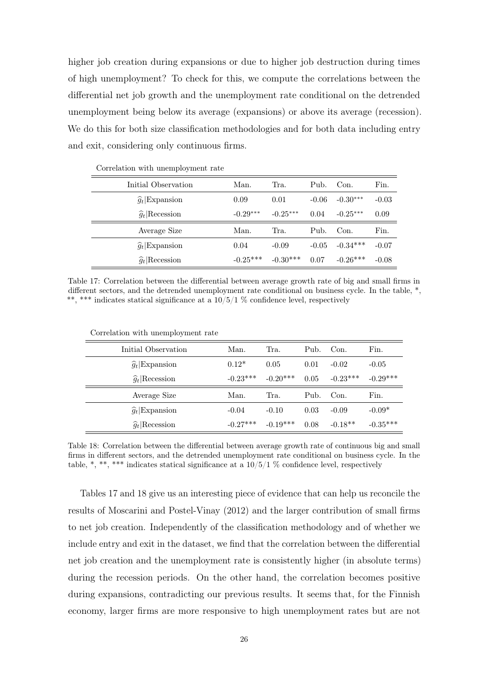higher job creation during expansions or due to higher job destruction during times of high unemployment? To check for this, we compute the correlations between the differential net job growth and the unemployment rate conditional on the detrended unemployment being below its average (expansions) or above its average (recession). We do this for both size classification methodologies and for both data including entry and exit, considering only continuous firms.

| Initial Observation   | Man.       | Tra.       | Pub.    | Con.       | Fin.    |
|-----------------------|------------|------------|---------|------------|---------|
| $\hat{g}_t$ Expansion | 0.09       | 0.01       | $-0.06$ | $-0.30***$ | $-0.03$ |
| $\hat{g}_t$ Recession | $-0.29***$ | $-0.25***$ | 0.04    | $-0.25***$ | 0.09    |
| Average Size          | Man.       | Tra.       | Pub.    | Con.       | Fin.    |
| $\hat{g}_t$ Expansion | 0.04       | $-0.09$    | $-0.05$ | $-0.34***$ | $-0.07$ |
| $\hat{g}_t$ Recession | $-0.25***$ | $-0.30***$ | 0.07    | $-0.26***$ | $-0.08$ |

Correlation with unemployment rate

Table 17: Correlation between the differential between average growth rate of big and small firms in different sectors, and the detrended unemployment rate conditional on business cycle. In the table,  $*,$ \*\*, \*\*\* indicates statical significance at a  $10/5/1$  % confidence level, respectively

| Initial Observation   | Man.       | Tra.       | Pub. | Con.       | Fin.       |
|-----------------------|------------|------------|------|------------|------------|
| $\hat{g}_t$ Expansion | $0.12*$    | 0.05       | 0.01 | $-0.02$    | $-0.05$    |
| $\hat{g}_t$ Recession | $-0.23***$ | $-0.20***$ | 0.05 | $-0.23***$ | $-0.29***$ |
| Average Size          | Man.       | Tra.       | Pub. | Con.       | Fin.       |
| $\hat{g}_t$ Expansion | $-0.04$    | $-0.10$    | 0.03 | $-0.09$    | $-0.09*$   |
| $\hat{g}_t$ Recession | $-0.27***$ | $-0.19***$ | 0.08 | $-0.18**$  | $-0.35***$ |

Correlation with unemployment rate

Table 18: Correlation between the differential between average growth rate of continuous big and small firms in different sectors, and the detrended unemployment rate conditional on business cycle. In the table, \*, \*\*\*, \*\*\* indicates statical significance at a  $10/5/1$  % confidence level, respectively

Tables 17 and 18 give us an interesting piece of evidence that can help us reconcile the results of Moscarini and Postel-Vinay (2012) and the larger contribution of small firms to net job creation. Independently of the classification methodology and of whether we include entry and exit in the dataset, we find that the correlation between the differential net job creation and the unemployment rate is consistently higher (in absolute terms) during the recession periods. On the other hand, the correlation becomes positive during expansions, contradicting our previous results. It seems that, for the Finnish economy, larger firms are more responsive to high unemployment rates but are not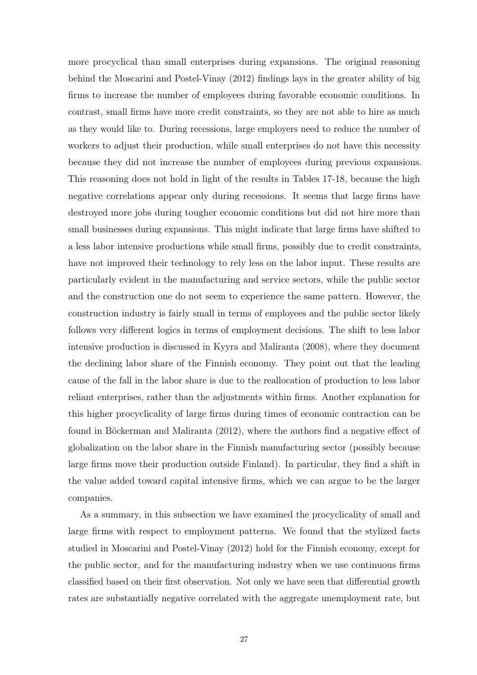more procyclical than small enterprises during expansions. The original reasoning behind the Moscarini and Postel-Vinay (2012) findings lays in the greater ability of big firms to increase the number of employees during favorable economic conditions. In contrast, small firms have more credit constraints, so they are not able to hire as much as they would like to. During recessions, large employers need to reduce the number of workers to adjust their production, while small enterprises do not have this necessity because they did not increase the number of employees during previous expansions. This reasoning does not hold in light of the results in Tables 17-18, because the high negative correlations appear only during recessions. It seems that large firms have destroyed more jobs during tougher economic conditions but did not hire more than small businesses during expansions. This might indicate that large firms have shifted to a less labor intensive productions while small firms, possibly due to credit constraints, have not improved their technology to rely less on the labor input. These results are particularly evident in the manufacturing and service sectors, while the public sector and the construction one do not seem to experience the same pattern. However, the construction industry is fairly small in terms of employees and the public sector likely follows very different logics in terms of employment decisions. The shift to less labor intensive production is discussed in Kyyra and Maliranta (2008), where they document the declining labor share of the Finnish economy. They point out that the leading cause of the fall in the labor share is due to the reallocation of production to less labor reliant enterprises, rather than the adjustments within firms. Another explanation for this higher procyclicality of large firms during times of economic contraction can be found in Böckerman and Maliranta (2012), where the authors find a negative effect of globalization on the labor share in the Finnish manufacturing sector (possibly because large firms move their production outside Finland). In particular, they find a shift in the value added toward capital intensive firms, which we can argue to be the larger companies.

As a summary, in this subsection we have examined the procyclicality of small and large firms with respect to employment patterns. We found that the stylized facts studied in Moscarini and Postel-Vinay (2012) hold for the Finnish economy, except for the public sector, and for the manufacturing industry when we use continuous firms classified based on their first observation. Not only we have seen that differential growth rates are substantially negative correlated with the aggregate unemployment rate, but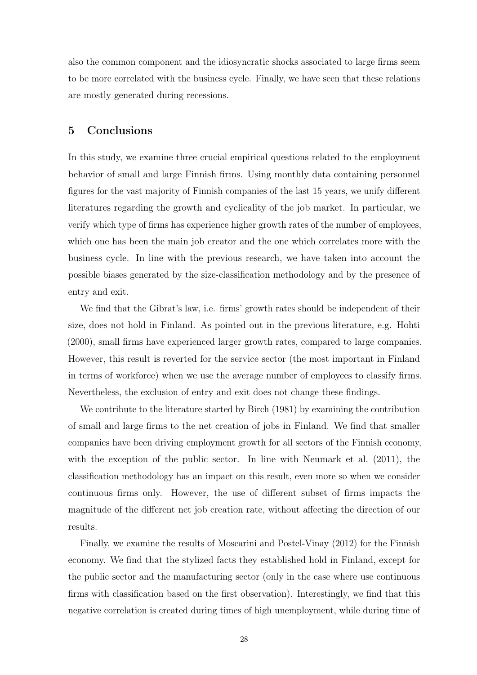also the common component and the idiosyncratic shocks associated to large firms seem to be more correlated with the business cycle. Finally, we have seen that these relations are mostly generated during recessions.

## 5 Conclusions

In this study, we examine three crucial empirical questions related to the employment behavior of small and large Finnish firms. Using monthly data containing personnel figures for the vast majority of Finnish companies of the last 15 years, we unify different literatures regarding the growth and cyclicality of the job market. In particular, we verify which type of firms has experience higher growth rates of the number of employees, which one has been the main job creator and the one which correlates more with the business cycle. In line with the previous research, we have taken into account the possible biases generated by the size-classification methodology and by the presence of entry and exit.

We find that the Gibrat's law, i.e. firms' growth rates should be independent of their size, does not hold in Finland. As pointed out in the previous literature, e.g. Hohti (2000), small firms have experienced larger growth rates, compared to large companies. However, this result is reverted for the service sector (the most important in Finland in terms of workforce) when we use the average number of employees to classify firms. Nevertheless, the exclusion of entry and exit does not change these findings.

We contribute to the literature started by Birch (1981) by examining the contribution of small and large firms to the net creation of jobs in Finland. We find that smaller companies have been driving employment growth for all sectors of the Finnish economy, with the exception of the public sector. In line with Neumark et al.  $(2011)$ , the classification methodology has an impact on this result, even more so when we consider continuous firms only. However, the use of different subset of firms impacts the magnitude of the different net job creation rate, without affecting the direction of our results.

Finally, we examine the results of Moscarini and Postel-Vinay (2012) for the Finnish economy. We find that the stylized facts they established hold in Finland, except for the public sector and the manufacturing sector (only in the case where use continuous firms with classification based on the first observation). Interestingly, we find that this negative correlation is created during times of high unemployment, while during time of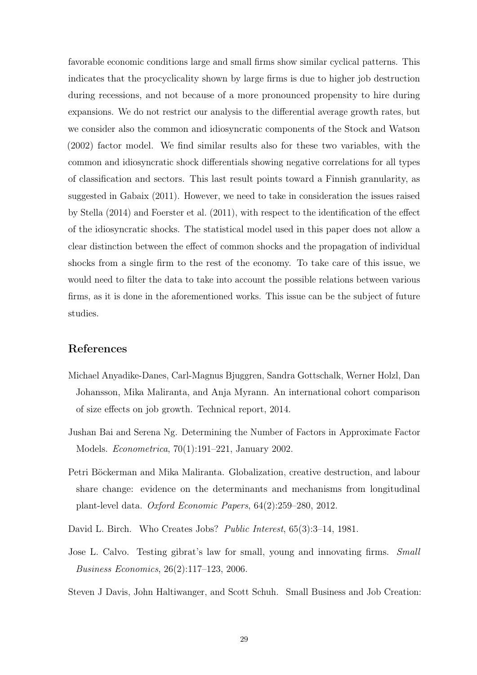favorable economic conditions large and small firms show similar cyclical patterns. This indicates that the procyclicality shown by large firms is due to higher job destruction during recessions, and not because of a more pronounced propensity to hire during expansions. We do not restrict our analysis to the differential average growth rates, but we consider also the common and idiosyncratic components of the Stock and Watson (2002) factor model. We find similar results also for these two variables, with the common and idiosyncratic shock differentials showing negative correlations for all types of classification and sectors. This last result points toward a Finnish granularity, as suggested in Gabaix (2011). However, we need to take in consideration the issues raised by Stella (2014) and Foerster et al. (2011), with respect to the identification of the effect of the idiosyncratic shocks. The statistical model used in this paper does not allow a clear distinction between the effect of common shocks and the propagation of individual shocks from a single firm to the rest of the economy. To take care of this issue, we would need to filter the data to take into account the possible relations between various firms, as it is done in the aforementioned works. This issue can be the subject of future studies.

## References

- Michael Anyadike-Danes, Carl-Magnus Bjuggren, Sandra Gottschalk, Werner Holzl, Dan Johansson, Mika Maliranta, and Anja Myrann. An international cohort comparison of size effects on job growth. Technical report, 2014.
- Jushan Bai and Serena Ng. Determining the Number of Factors in Approximate Factor Models. Econometrica, 70(1):191–221, January 2002.
- Petri Böckerman and Mika Maliranta. Globalization, creative destruction, and labour share change: evidence on the determinants and mechanisms from longitudinal plant-level data. Oxford Economic Papers, 64(2):259–280, 2012.
- David L. Birch. Who Creates Jobs? Public Interest, 65(3):3-14, 1981.
- Jose L. Calvo. Testing gibrat's law for small, young and innovating firms. Small Business Economics, 26(2):117–123, 2006.
- Steven J Davis, John Haltiwanger, and Scott Schuh. Small Business and Job Creation: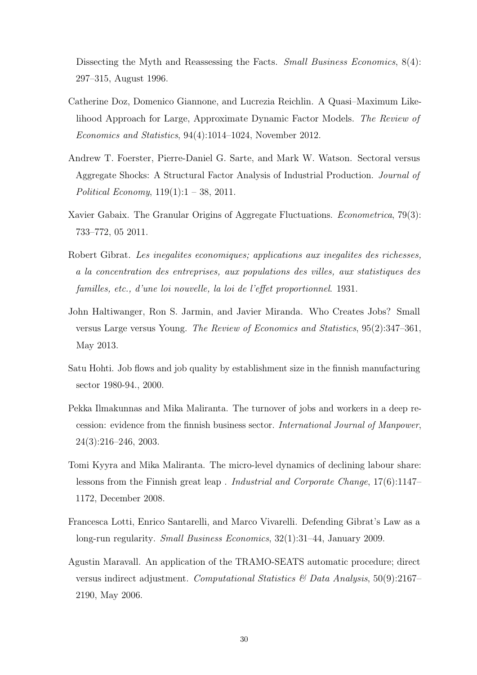Dissecting the Myth and Reassessing the Facts. Small Business Economics, 8(4): 297–315, August 1996.

- Catherine Doz, Domenico Giannone, and Lucrezia Reichlin. A Quasi–Maximum Likelihood Approach for Large, Approximate Dynamic Factor Models. The Review of Economics and Statistics, 94(4):1014–1024, November 2012.
- Andrew T. Foerster, Pierre-Daniel G. Sarte, and Mark W. Watson. Sectoral versus Aggregate Shocks: A Structural Factor Analysis of Industrial Production. Journal of Political Economy,  $119(1):1 - 38$ , 2011.
- Xavier Gabaix. The Granular Origins of Aggregate Fluctuations. *Econometrica*, 79(3): 733–772, 05 2011.
- Robert Gibrat. Les inegalites economiques; applications aux inegalites des richesses, a la concentration des entreprises, aux populations des villes, aux statistiques des familles, etc., d'une loi nouvelle, la loi de l'effet proportionnel. 1931.
- John Haltiwanger, Ron S. Jarmin, and Javier Miranda. Who Creates Jobs? Small versus Large versus Young. The Review of Economics and Statistics, 95(2):347–361, May 2013.
- Satu Hohti. Job flows and job quality by establishment size in the finnish manufacturing sector 1980-94., 2000.
- Pekka Ilmakunnas and Mika Maliranta. The turnover of jobs and workers in a deep recession: evidence from the finnish business sector. International Journal of Manpower, 24(3):216–246, 2003.
- Tomi Kyyra and Mika Maliranta. The micro-level dynamics of declining labour share: lessons from the Finnish great leap . Industrial and Corporate Change, 17(6):1147– 1172, December 2008.
- Francesca Lotti, Enrico Santarelli, and Marco Vivarelli. Defending Gibrat's Law as a long-run regularity. Small Business Economics, 32(1):31–44, January 2009.
- Agustin Maravall. An application of the TRAMO-SEATS automatic procedure; direct versus indirect adjustment. Computational Statistics & Data Analysis,  $50(9):2167-$ 2190, May 2006.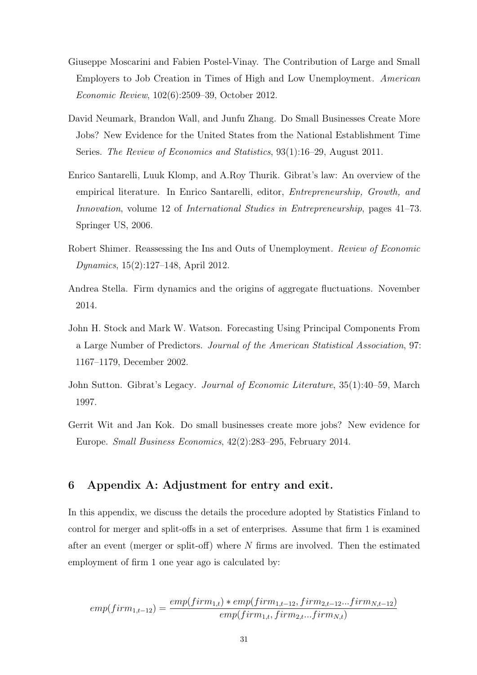- Giuseppe Moscarini and Fabien Postel-Vinay. The Contribution of Large and Small Employers to Job Creation in Times of High and Low Unemployment. American Economic Review, 102(6):2509–39, October 2012.
- David Neumark, Brandon Wall, and Junfu Zhang. Do Small Businesses Create More Jobs? New Evidence for the United States from the National Establishment Time Series. The Review of Economics and Statistics, 93(1):16–29, August 2011.
- Enrico Santarelli, Luuk Klomp, and A.Roy Thurik. Gibrat's law: An overview of the empirical literature. In Enrico Santarelli, editor, Entrepreneurship, Growth, and Innovation, volume 12 of International Studies in Entrepreneurship, pages 41–73. Springer US, 2006.
- Robert Shimer. Reassessing the Ins and Outs of Unemployment. Review of Economic Dynamics, 15(2):127–148, April 2012.
- Andrea Stella. Firm dynamics and the origins of aggregate fluctuations. November 2014.
- John H. Stock and Mark W. Watson. Forecasting Using Principal Components From a Large Number of Predictors. Journal of the American Statistical Association, 97: 1167–1179, December 2002.
- John Sutton. Gibrat's Legacy. Journal of Economic Literature, 35(1):40–59, March 1997.
- Gerrit Wit and Jan Kok. Do small businesses create more jobs? New evidence for Europe. Small Business Economics, 42(2):283–295, February 2014.

## 6 Appendix A: Adjustment for entry and exit.

In this appendix, we discuss the details the procedure adopted by Statistics Finland to control for merger and split-offs in a set of enterprises. Assume that firm 1 is examined after an event (merger or split-off) where N firms are involved. Then the estimated employment of firm 1 one year ago is calculated by:

$$
emp(firm_{1,t-12}) = \frac{emp(firm_{1,t}) * emp(firm_{1,t-12}, firm_{2,t-12}...firm_{N,t-12})}{emp(firm_{1,t}, firm_{2,t}...firm_{N,t})}
$$